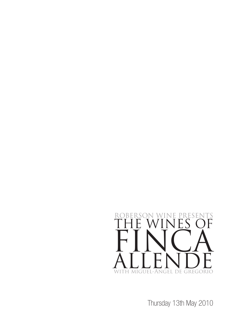

Thursday 13th May 2010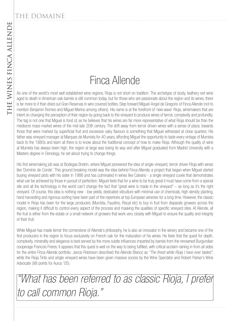#### THE DOMAINE

# Finca Allende

THE WINES FINCA ALLENDE As one of the world's most well established wine regions, Rioja is not short on tradition. The archetype of dusty, leathery red wine aged to death in American oak barrels is still common today, but for those who are passionate about the region and its wines, there is far more to it than dried out Gran Reservas in wire covered bottles. Step forward Miguel-Angel de Gregorio of Finca Allende (not to mention Benjamin Romeo and Miguel Merino among others). His name is at the forefront of 'new wave' Rioja, winemakers that are intent on changing the perception of their region by going back to the vineyard to produce wines of terroir, complexity and profundity. The tag is not one that Miguel is fond of, as he believes that his wines are far more representative of what Rioja should be than the mediocre mass-market wines of the mid-late 20th century. The drift away from terroir driven wines with a sense of place, towards those that were marked by superficial fruit and excessive oaky flavours is something that Miguel witnessed at close quarters. His father was vineyard manager at Marques de Murrieta for 40 years, affording Miguel the opportunity to taste every vintage of Murrieta back to the 1880s and learn all there is to know about the traditional concept of how to make Rioja. Although the quality of wine at Murrieta has always been high, the region at large was losing its way and after Miguel graduated from Madrid University with a Masters degree in Oenology, he set about trying to change things.

His first winemaking job was at Bodegas Bretón, where Miguel pioneered the idea of single-vineyard, terroir driven Rioja with wines like 'Dominio de Conde'. This ground breaking model was the idea behind Finca Allende, a project that began when Miguel started buying vineyard plots with his sister in 1986 and has culminated in wines like Calvario - a single vineyard cuvée that demonstrates what can be achieved by those in pursuit of perfection. Miguel feels that for a wine to be truly great it must have come from a special site and all the technology in the world can't change the fact that "great wine is made in the vineyard" – as long as it's the right vineyard. Of course, this idea is nothing new - low yields, dedicated viticulture with minimal use of chemicals, high density planting, hand harvesting and rigorous sorting have been part of the repertoire at top European wineries for a long time. However, the classic model in Rioja has been for the large producers (Murrieta, Faustino, Riscal etc) to buy in fruit from disparate growers across the region, making it difficult to control every aspect of the process and masking the qualities of specific vineyard sites. At Allende, all the fruit is either from the estate or a small network of growers that work very closely with Miguel to ensure the quality and integrity of their fruit.

While Miguel has made terroir the cornerstone of Allende's philosophy, he is also an innovator in the winery and became one of the first producers in the region to focus exclusively on French oak for the maturation of his wines. He feels that the quest for depth, complexity, minerality and elegance is best served by the more subtle influences imparted by barrels from the renowned Burgundian cooperage Francois Freres. It appears that this quest is well on the way to being fulfilled, with critical acclaim raining in from all sides for the entire Finca Allende portfolio. Jancis Robinson described the Allende Blanco as "The finest white Rioja I have ever tasted", while the Rioja Tinto and single vineyard wines have been given massive scores by the Wine Spectator and Robert Parker's Wine Advocate (98 points for Aurus '05).

"What has been referred to as classic Rioja, I prefer to call common Rioja."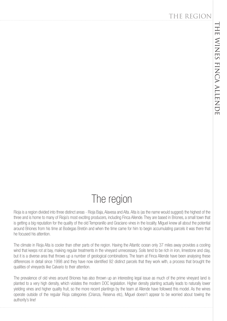#### The region

Rioja is a region divided into three distinct areas - Rioja Baja, Alavesa and Alta, Alta is (as the name would suggest) the highest of the three and is home to many of Rioja's most exciting producers, including Finca Allende. They are based in Briones, a small town that is getting a big reputation for the quality of the old Tempranillo and Graciano vines in the locality. Miguel knew all about the potential around Briones from his time at Bodegas Bretón and when the time came for him to begin accumulating parcels it was there that he focused his attention.

The climate in Rioja Alta is cooler than other parts of the region. Having the Atlantic ocean only 37 miles away provides a cooling wind that keeps rot at bay, making regular treatments in the vineyard unnecessary. Soils tend to be rich in iron, limestone and clay, but it is a diverse area that throws up a number of geological combinations. The team at Finca Allende have been analysing these differences in detail since 1998 and they have now identified 92 distinct parcels that they work with, a process that brought the qualities of vineyards like Calvario to their attention.

The prevalence of old vines around Briones has also thrown up an interesting legal issue as much of the prime vineyard land is planted to a very high density, which violates the modern DOC legislation. Higher density planting actually leads to naturally lower yielding vines and higher quality fruit, so the more recent plantings by the team at Allende have followed this model. As the wines operate outside of the regular Rioja categories (Crianza, Reserva etc), Miguel doesn't appear to be worried about towing the authority's line!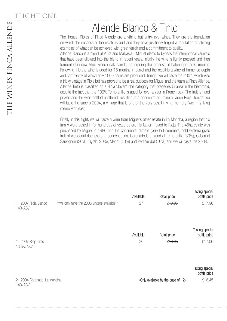## Allende Blanco & Tinto

The 'house' Riojas of Finca Allende are anything but entry-level wines. They are the foundation on which the success of the estate is built and they have justifiably forged a reputation as shining examples of what can be achieved with great terroir and a commitment to quality.

Allende Blanco is a blend of Viura and Malvasia - Miguel elects to bypass the international varietals that have been allowed into the blend in recent years. Initially the wine is lightly pressed and then fermented in new Allier French oak barrels, undergoing the process of batonnage for 6 months. Following this the wine is aged for 16 months in barrel and the result is a wine of immense depth and complexity of which only 1500 cases are produced. Tonight we will taste the 2007, which was a tricky vintage in Rioja but has proved to be a real success for Miguel and the team at Finca Allende. Allende Tinto is classified as a Rioja 'Joven' (the category that precedes Crianza in the hierarchy), despite the fact that the 100% Tempranillo is aged for over a year in French oak. The fruit is hand picked and the wine bottled unfiltered, resulting in a concentrated, mineral laden Rioja. Tonight we will taste the superb 2004, a vintage that is one of the very best in living memory (well, my living memory at least).

Finally in this flight, we will taste a wine from Miguel's other estate in La Mancha, a region that his family were based in for hundreds of years before his father moved to Rioja. The 46ha estate was purchased by Miguel in 1986 and the continental climate (very hot summers, cold winters) gives fruit of wonderful ripeness and concentration. Coronado is a blend of Tempranillo (30%), Cabernet Sauvignon (30%), Syrah (20%), Merlot (10%) and Petit Verdot (10%) and we will taste the 2004.

|                                        |                                             | Available | Retail price                       | <b>Tasting special</b><br>bottle price |
|----------------------------------------|---------------------------------------------|-----------|------------------------------------|----------------------------------------|
| 1: 2007 Rioja Blanco<br>14% ABV        | **we only have the 2006 vintage available** | 27        | £ <del>19.95</del>                 | £17.96                                 |
|                                        |                                             | Available | Retail price                       | Tasting special<br>bottle price        |
| 1: 2007 Rioja Tinto<br>13.5% ABV       |                                             | 30        | £18.95                             | £17.06                                 |
|                                        |                                             |           |                                    | Tasting special<br>bottle price        |
| 2: 2004 Coronado; La Mancha<br>14% ABV |                                             |           | (Only available by the case of 12) | £16.45                                 |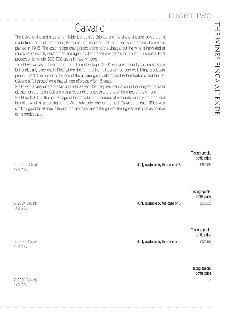## **Calvario**

The Calvario vinevard sites on a hillside just outside Briones and the single-vinevard cuvée that is made from the best Tempranillo, Garnacha and Graciano that the 1.5ha site produces from vines planted in 1945. The exact recipe changes according to the vintage, but the wine is harvested at miniscule yields, fully destemmed and aged in Allier French oak barrels for around 16 months. Final production is minute, 600-700 cases in most vintages.

Tonight we will taste Calvario from four different vintages. 2001 was a wonderful year across Spain but particularly excellent in Rioja where the Tempranillo fruit performed very well. Many producers predict that '01 will go on to be one of the all time great vintages and Robert Parker called the '01 Calvario a 'full throttle' wine that will age effortlessly for 15 years.

2002 was a very different affair and a tricky year that required dedication in the vineyard to avoid disaster. On that basis Calvario was a resounding success and one of the wines of the vintage.

2004 rivals '01 as the best vintage of the decade and a number of wonderful wines were produced including what is, according to the Wine Advocate, one of the best Calvarios to date. 2005 was similarly good for Allende, although the late rains meant the general feeling was not quite as positive as its predecessor.

5: 2004 Calvario **EUROCOCO CALCE 2004** Calvario **COLOGO CALCE 2004** COLOGO CALCE 2004 CALCE 259.95 14% ABV Tasting special bottle price 4: 2005 Calvario **EXPLACT 2006** Calvario **EXPLACT 2006** Conly available by the case of 6)  $\text{£}67.95$ 14% ABV Tasting special bottle price 7: 2001 Calvario n/a 14% ABV Tasting special bottle price 6: 2002 Calvario  $\sim$  £52.95 14% ABV Tasting special bottle price